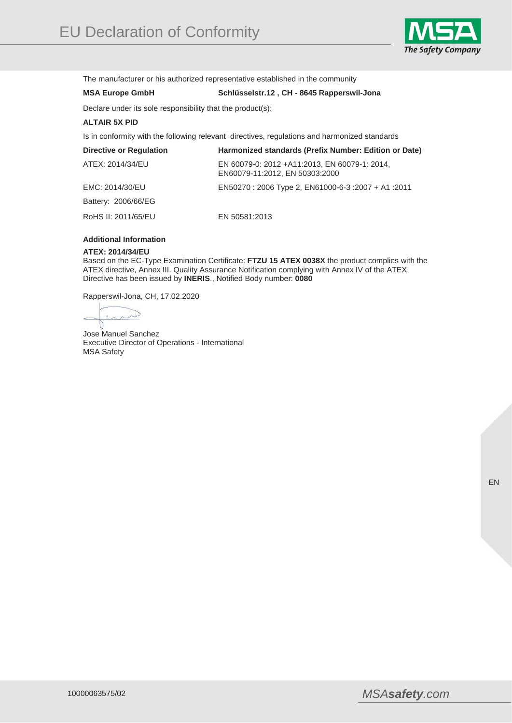

The manufacturer or his authorized representative established in the community

## **MSA Europe GmbH Schlüsselstr.12 , CH - 8645 Rapperswil-Jona**

Declare under its sole responsibility that the product(s):

## **ALTAIR 5X PID**

Is in conformity with the following relevant directives, regulations and harmonized standards

| <b>Directive or Regulation</b> | Harmonized standards (Prefix Number: Edition or Date)                            |
|--------------------------------|----------------------------------------------------------------------------------|
| ATEX: 2014/34/EU               | EN 60079-0: 2012 + A11:2013, EN 60079-1: 2014,<br>EN60079-11:2012, EN 50303:2000 |
| EMC: 2014/30/EU                | 2011: 41 + 2007 1000-6-3 + 2007 + 2011 EN50270 : 2006 Type 2, EN61000-6-3        |
| Battery: 2006/66/EG            |                                                                                  |
| RoHS II: 2011/65/EU            | EN 50581:2013                                                                    |

## **Additional Information**

## **ATEX: 2014/34/EU**

Based on the EC-Type Examination Certificate: **FTZU 15 ATEX 0038X** the product complies with the ATEX directive, Annex III. Quality Assurance Notification complying with Annex IV of the ATEX Directive has been issued by **INERIS**., Notified Body number: **0080**

Rapperswil-Jona, CH, 17.02.2020

 $\sim$  $\lambda$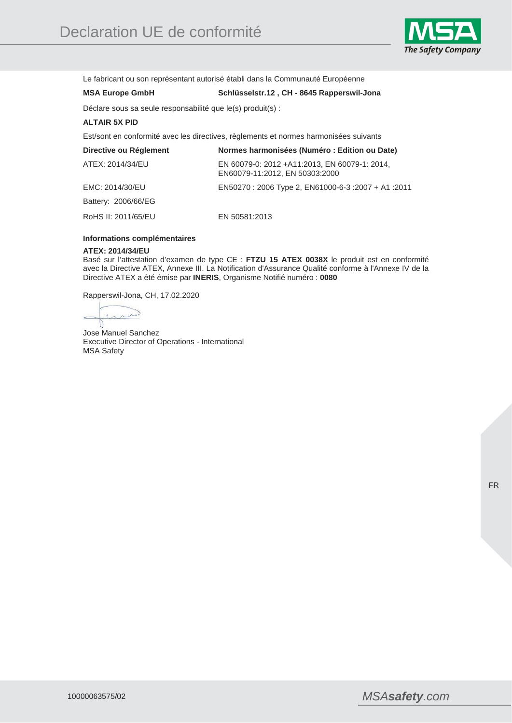

Le fabricant ou son représentant autorisé établi dans la Communauté Européenne

## **MSA Europe GmbH Schlüsselstr.12 , CH - 8645 Rapperswil-Jona**

Déclare sous sa seule responsabilité que le(s) produit(s) :

## **ALTAIR 5X PID**

Est/sont en conformité avec les directives, règlements et normes harmonisées suivants

| Directive ou Réglement | Normes harmonisées (Numéro : Edition ou Date)                                   |
|------------------------|---------------------------------------------------------------------------------|
| ATEX: 2014/34/EU       | EN 60079-0: 2012 +A11:2013, EN 60079-1: 2014,<br>EN60079-11:2012, EN 50303:2000 |
| EMC: 2014/30/EU        | EN50270 : 2006 Type 2, EN61000-6-3 : 2007 + A1 : 2011                           |
| Battery: 2006/66/EG    |                                                                                 |
| RoHS II: 2011/65/EU    | EN 50581:2013                                                                   |

## **Informations complémentaires**

#### **ATEX: 2014/34/EU**

Basé sur l'attestation d'examen de type CE : **FTZU 15 ATEX 0038X** le produit est en conformité avec la Directive ATEX, Annexe III. La Notification d'Assurance Qualité conforme à l'Annexe IV de la Directive ATEX a été émise par **INERIS**, Organisme Notifié numéro : **0080**

Rapperswil-Jona, CH, 17.02.2020

Λ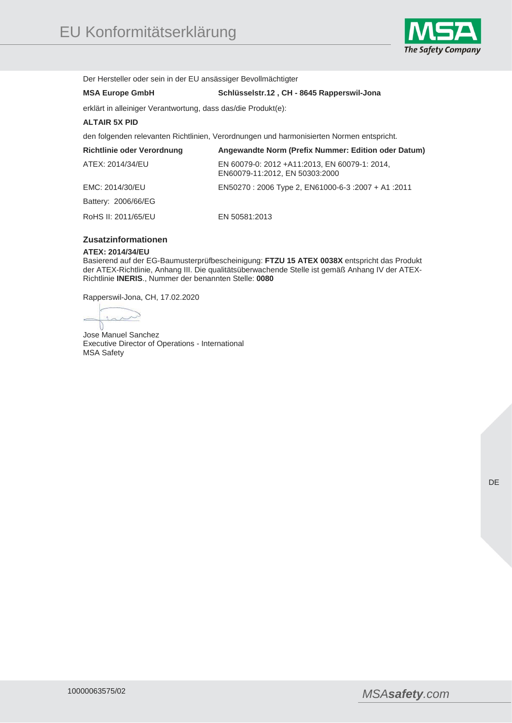

Der Hersteller oder sein in der EU ansässiger Bevollmächtigter

# **MSA Europe GmbH Schlüsselstr.12 , CH - 8645 Rapperswil-Jona**

erklärt in alleiniger Verantwortung, dass das/die Produkt(e):

## **ALTAIR 5X PID**

den folgenden relevanten Richtlinien, Verordnungen und harmonisierten Normen entspricht.

| <b>Richtlinie oder Verordnung</b> | Angewandte Norm (Prefix Nummer: Edition oder Datum)                             |
|-----------------------------------|---------------------------------------------------------------------------------|
| ATEX: 2014/34/EU                  | EN 60079-0: 2012 +A11:2013, EN 60079-1: 2014,<br>EN60079-11:2012, EN 50303:2000 |
| EMC: 2014/30/EU                   | 2011: EN50270 : 2006 Type 2, EN61000-6-3 : 2007 + A1 : 2011                     |
| Battery: 2006/66/EG               |                                                                                 |
| RoHS II: 2011/65/EU               | EN 50581:2013                                                                   |

# **Zusatzinformationen**

## **ATEX: 2014/34/EU**

Basierend auf der EG-Baumusterprüfbescheinigung: **FTZU 15 ATEX 0038X** entspricht das Produkt der ATEX-Richtlinie, Anhang III. Die qualitätsüberwachende Stelle ist gemäß Anhang IV der ATEX-Richtlinie **INERIS**., Nummer der benannten Stelle: **0080**

Rapperswil-Jona, CH, 17.02.2020

سر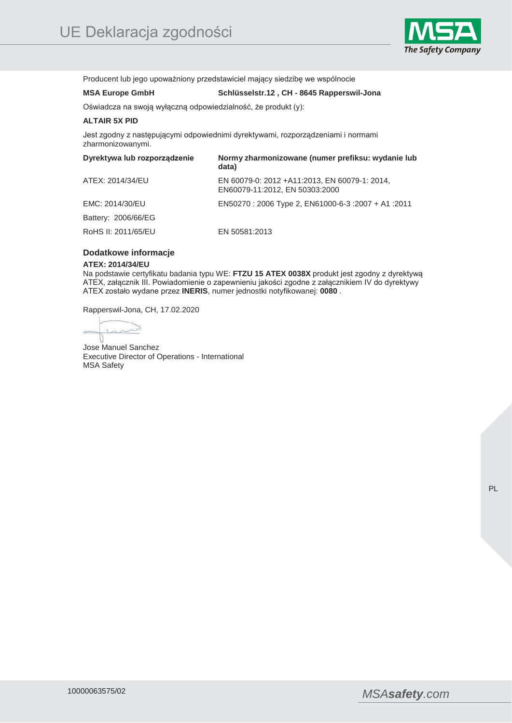

Producent lub jego upoważniony przedstawiciel mający siedzibę we wspólnocie

# **MSA Europe GmbH Schlüsselstr.12 , CH - 8645 Rapperswil-Jona**

Oświadcza na swoją wyłączną odpowiedzialność, że produkt (y):

## **ALTAIR 5X PID**

Jest zgodny z następującymi odpowiednimi dyrektywami, rozporządzeniami i normami zharmonizowanymi.

| Dyrektywa lub rozporządzenie | Normy zharmonizowane (numer prefiksu: wydanie lub<br>data)                      |
|------------------------------|---------------------------------------------------------------------------------|
| ATEX: 2014/34/EU             | EN 60079-0: 2012 +A11:2013, EN 60079-1: 2014,<br>EN60079-11:2012, EN 50303:2000 |
| EMC: 2014/30/EU              | EN50270: 2006 Type 2, EN61000-6-3: 2007 + A1: 2011                              |
| Battery: 2006/66/EG          |                                                                                 |
| RoHS II: 2011/65/EU          | EN 50581:2013                                                                   |

## **Dodatkowe informacje**

#### **ATEX: 2014/34/EU**

Na podstawie certyfikatu badania typu WE: **FTZU 15 ATEX 0038X** produkt jest zgodny z dyrektywą ATEX, załącznik III. Powiadomienie o zapewnieniu jakości zgodne z załącznikiem IV do dyrektywy ATEX zostało wydane przez **INERIS**, numer jednostki notyfikowanej: **0080** .

Rapperswil-Jona, CH, 17.02.2020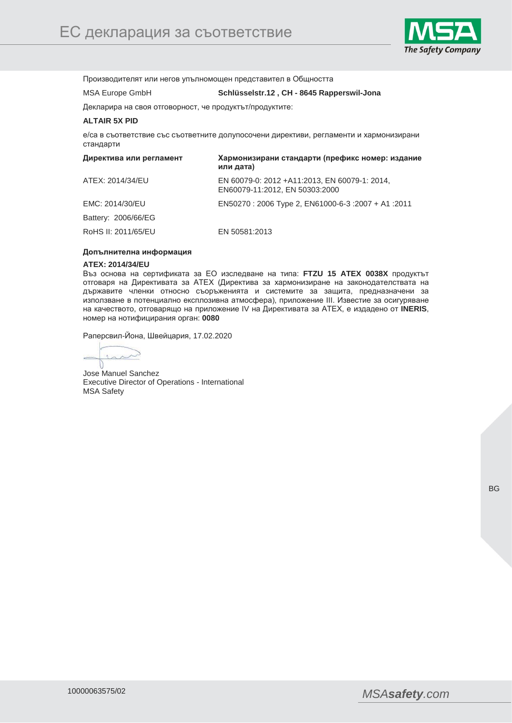

Производителят или негов упълномощен представител в Общността

MSA Europe GmbH **Schlüsselstr.12 , CH - 8645 Rapperswil-Jona** 

## Декларира на своя отговорност, че продуктът/продуктите:

## **ALTAIR 5X PID**

е/са в съответствие със съответните долупосочени директиви, регламенти и хармонизирани стандарти

| Директива или регламент | Хармонизирани стандарти (префикс номер: издание<br>или дата)                    |
|-------------------------|---------------------------------------------------------------------------------|
| ATEX: 2014/34/EU        | EN 60079-0: 2012 +A11:2013, EN 60079-1: 2014,<br>EN60079-11:2012, EN 50303:2000 |
| EMC: 2014/30/EU         | EN50270: 2006 Type 2, EN61000-6-3: 2007 + A1: 2011                              |
| Battery: 2006/66/EG     |                                                                                 |
| RoHS II: 2011/65/EU     | EN 50581:2013                                                                   |

#### **Допълнителна информация**

#### **ATEX: 2014/34/EU**

Въз основа на сертификата за ЕО изследване на типа: **FTZU 15 ATEX 0038X** продуктът отговаря на Директивата за АТЕХ (Директива за хармонизиране на законодателствата на държавите членки относно съоръженията и системите за защита, предназначени за използване в потенциално експлозивна атмосфера), приложение III. Известие за осигуряване на качеството, отговарящо на приложение IV на Директивата за АТЕХ, е издадено от **INERIS**, номер на нотифицирания орган: **0080**

Раперсвил-Йона, Швейцария, 17.02.2020

 $\lambda$  $\sim$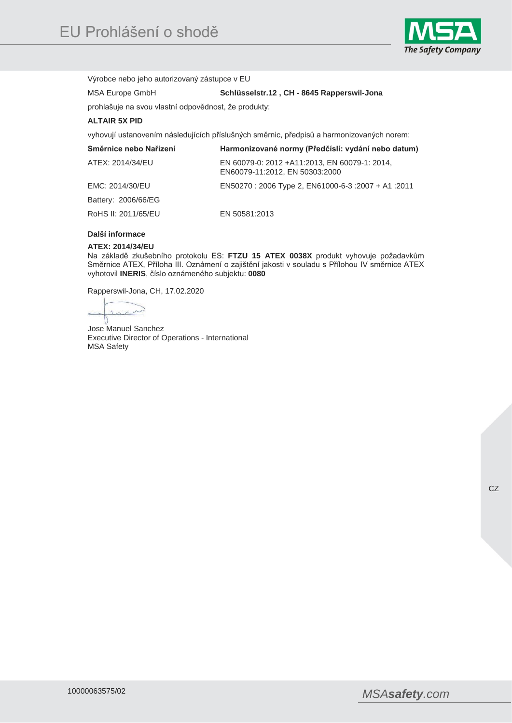

Výrobce nebo jeho autorizovaný zástupce v EU

MSA Europe GmbH **Schlüsselstr.12 , CH - 8645 Rapperswil-Jona** 

prohlašuje na svou vlastní odpovědnost, že produkty:

## **ALTAIR 5X PID**

vyhovují ustanovením následujících příslušných směrnic, předpisů a harmonizovaných norem:

| Směrnice nebo Nařízení | Harmonizované normy (Předčíslí: vydání nebo datum)                              |
|------------------------|---------------------------------------------------------------------------------|
| ATEX: 2014/34/EU       | EN 60079-0: 2012 +A11:2013, EN 60079-1: 2014,<br>EN60079-11:2012, EN 50303:2000 |
| EMC: 2014/30/EU        | 2011: 41 + 2007 1000-6-3 + 2007 EN50270 : 2006 Type 2, EN61000-6-3              |
| Battery: 2006/66/EG    |                                                                                 |
| RoHS II: 2011/65/EU    | EN 50581:2013                                                                   |

## **Další informace**

## **ATEX: 2014/34/EU**

Na základě zkušebního protokolu ES: **FTZU 15 ATEX 0038X** produkt vyhovuje požadavkům Směrnice ATEX, Příloha III. Oznámení o zajištění jakosti v souladu s Přílohou IV směrnice ATEX vyhotovil **INERIS**, číslo oznámeného subjektu: **0080**

Rapperswil-Jona, CH, 17.02.2020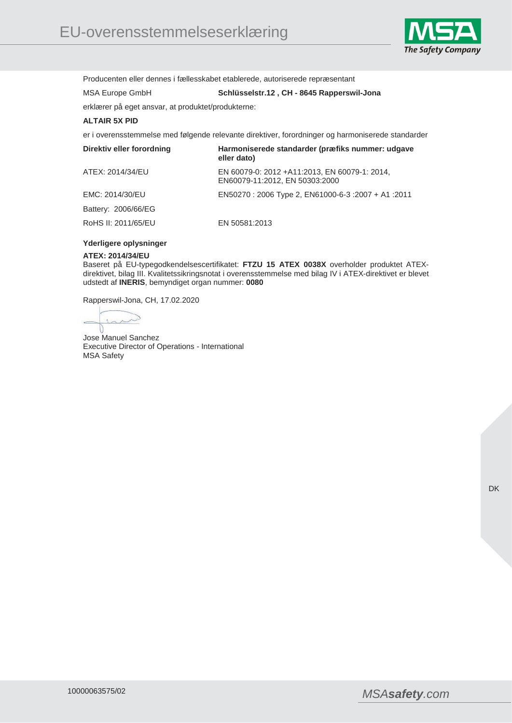

Producenten eller dennes i fællesskabet etablerede, autoriserede repræsentant

# MSA Europe GmbH **Schlüsselstr.12 , CH - 8645 Rapperswil-Jona**

erklærer på eget ansvar, at produktet/produkterne:

## **ALTAIR 5X PID**

er i overensstemmelse med følgende relevante direktiver, forordninger og harmoniserede standarder

| Direktiv eller forordning | Harmoniserede standarder (præfiks nummer: udgave<br>eller dato)                 |
|---------------------------|---------------------------------------------------------------------------------|
| ATEX: 2014/34/EU          | EN 60079-0: 2012 +A11:2013, EN 60079-1: 2014,<br>EN60079-11:2012, EN 50303:2000 |
| EMC: 2014/30/EU           | EN50270: 2006 Type 2, EN61000-6-3: 2007 + A1: 2011                              |
| Battery: 2006/66/EG       |                                                                                 |
| RoHS II: 2011/65/EU       | EN 50581:2013                                                                   |

#### **Yderligere oplysninger**

#### **ATEX: 2014/34/EU**

Baseret på EU-typegodkendelsescertifikatet: **FTZU 15 ATEX 0038X** overholder produktet ATEXdirektivet, bilag III. Kvalitetssikringsnotat i overensstemmelse med bilag IV i ATEX-direktivet er blevet udstedt af **INERIS**, bemyndiget organ nummer: **0080**

Rapperswil-Jona, CH, 17.02.2020

 $\sim$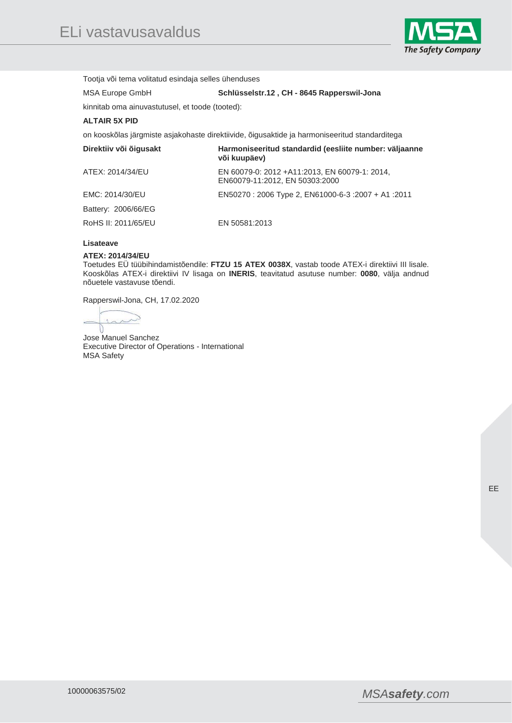

Tootja või tema volitatud esindaja selles ühenduses

## MSA Europe GmbH **Schlüsselstr.12 , CH - 8645 Rapperswil-Jona**

kinnitab oma ainuvastutusel, et toode (tooted):

## **ALTAIR 5X PID**

on kooskõlas järgmiste asjakohaste direktiivide, õigusaktide ja harmoniseeritud standarditega

| Direktiiv või õigusakt | Harmoniseeritud standardid (eesliite number: väljaanne<br>või kuupäev)          |
|------------------------|---------------------------------------------------------------------------------|
| ATEX: 2014/34/EU       | EN 60079-0: 2012 +A11:2013, EN 60079-1: 2014,<br>EN60079-11:2012, EN 50303:2000 |
| EMC: 2014/30/EU        | 2011: EN50270 : 2006 Type 2, EN61000-6-3 : 2007 + A1 : 2011                     |
| Battery: 2006/66/EG    |                                                                                 |
| RoHS II: 2011/65/EU    | EN 50581:2013                                                                   |

## **Lisateave**

#### **ATEX: 2014/34/EU**

Toetudes EÜ tüübihindamistõendile: **FTZU 15 ATEX 0038X**, vastab toode ATEX-i direktiivi III lisale. Kooskõlas ATEX-i direktiivi IV lisaga on **INERIS**, teavitatud asutuse number: **0080**, välja andnud nõuetele vastavuse tõendi.

Rapperswil-Jona, CH, 17.02.2020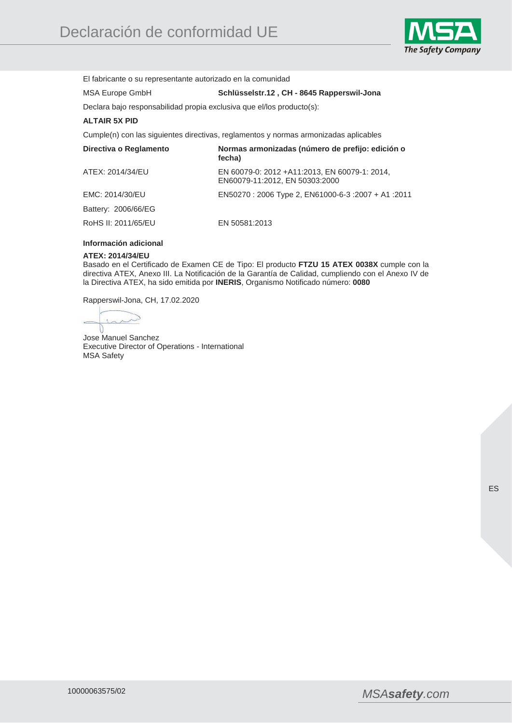

El fabricante o su representante autorizado en la comunidad

## MSA Europe GmbH **Schlüsselstr.12 , CH - 8645 Rapperswil-Jona**

Declara bajo responsabilidad propia exclusiva que el/los producto(s):

## **ALTAIR 5X PID**

Cumple(n) con las siguientes directivas, reglamentos y normas armonizadas aplicables

| Directiva o Reglamento | Normas armonizadas (número de prefijo: edición o<br>fecha)                      |
|------------------------|---------------------------------------------------------------------------------|
| ATEX: 2014/34/EU       | EN 60079-0: 2012 +A11:2013, EN 60079-1: 2014,<br>EN60079-11:2012, EN 50303:2000 |
| EMC: 2014/30/EU        | 2011: EN50270 : 2006 Type 2, EN61000-6-3 : 2007 + A1 : 2011                     |
| Battery: 2006/66/EG    |                                                                                 |
| RoHS II: 2011/65/EU    | EN 50581:2013                                                                   |

#### **Información adicional**

#### **ATEX: 2014/34/EU**

Basado en el Certificado de Examen CE de Tipo: El producto **FTZU 15 ATEX 0038X** cumple con la directiva ATEX, Anexo III. La Notificación de la Garantía de Calidad, cumpliendo con el Anexo IV de la Directiva ATEX, ha sido emitida por **INERIS**, Organismo Notificado número: **0080**

Rapperswil-Jona, CH, 17.02.2020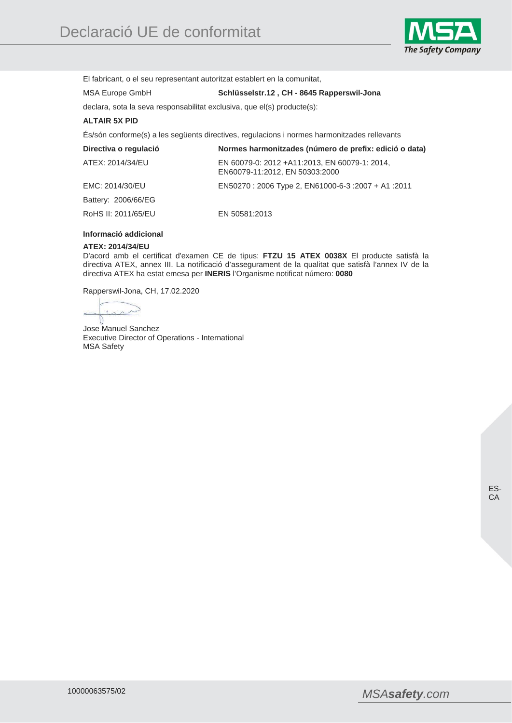

El fabricant, o el seu representant autoritzat establert en la comunitat,

## MSA Europe GmbH **Schlüsselstr.12 , CH - 8645 Rapperswil-Jona**

declara, sota la seva responsabilitat exclusiva, que el(s) producte(s):

## **ALTAIR 5X PID**

És/són conforme(s) a les següents directives, regulacions i normes harmonitzades rellevants

| Directiva o regulació | Normes harmonitzades (número de prefix: edició o data)                          |
|-----------------------|---------------------------------------------------------------------------------|
| ATEX: 2014/34/EU      | EN 60079-0: 2012 +A11:2013, EN 60079-1: 2014,<br>EN60079-11:2012, EN 50303:2000 |
| EMC: 2014/30/EU       | 2011: 41 + 2007 1000-6-3 + 2007 + 2011 EN50270 : 2006 Type 2, EN61000-6-3       |
| Battery: 2006/66/EG   |                                                                                 |
| RoHS II: 2011/65/EU   | EN 50581:2013                                                                   |

## **Informació addicional**

#### **ATEX: 2014/34/EU**

D'acord amb el certificat d'examen CE de tipus: **FTZU 15 ATEX 0038X** El producte satisfà la directiva ATEX, annex III. La notificació d'assegurament de la qualitat que satisfà l'annex IV de la directiva ATEX ha estat emesa per **INERIS** l'Organisme notificat número: **0080**

Rapperswil-Jona, CH, 17.02.2020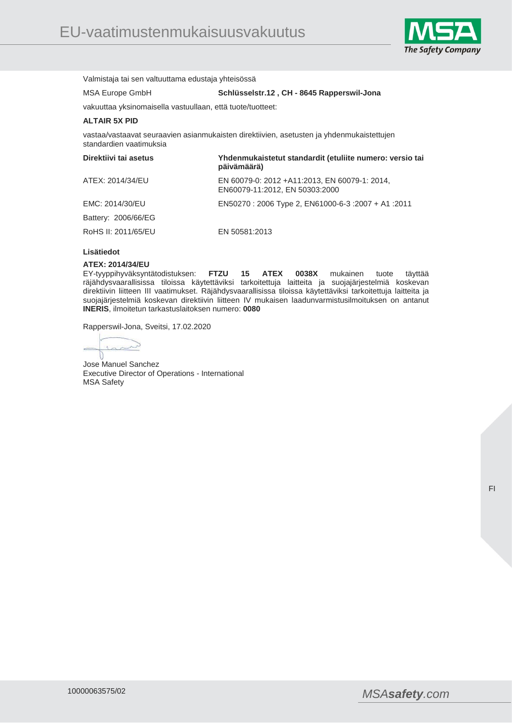

Valmistaja tai sen valtuuttama edustaja yhteisössä

MSA Europe GmbH **Schlüsselstr.12 , CH - 8645 Rapperswil-Jona** 

vakuuttaa yksinomaisella vastuullaan, että tuote/tuotteet:

### **ALTAIR 5X PID**

vastaa/vastaavat seuraavien asianmukaisten direktiivien, asetusten ja yhdenmukaistettujen standardien vaatimuksia

| Direktiivi tai asetus | Yhdenmukaistetut standardit (etuliite numero: versio tai<br>päivämäärä)         |
|-----------------------|---------------------------------------------------------------------------------|
| ATEX: 2014/34/EU      | EN 60079-0: 2012 +A11:2013, EN 60079-1: 2014,<br>EN60079-11:2012, EN 50303:2000 |
| EMC: 2014/30/EU       | 2011: EN50270 : 2006 Type 2, EN61000-6-3 : 2007 + A1 : 2011                     |
| Battery: 2006/66/EG   |                                                                                 |
| RoHS II: 2011/65/EU   | EN 50581:2013                                                                   |

## **Lisätiedot**

#### **ATEX: 2014/34/EU**

EY-tyyppihyväksyntätodistuksen: **FTZU 15 ATEX 0038X** mukainen tuote täyttää räjähdysvaarallisissa tiloissa käytettäviksi tarkoitettuja laitteita ja suojajärjestelmiä koskevan direktiivin liitteen III vaatimukset. Räjähdysvaarallisissa tiloissa käytettäviksi tarkoitettuja laitteita ja suojajärjestelmiä koskevan direktiivin liitteen IV mukaisen laadunvarmistusilmoituksen on antanut **INERIS**, ilmoitetun tarkastuslaitoksen numero: **0080**

Rapperswil-Jona, Sveitsi, 17.02.2020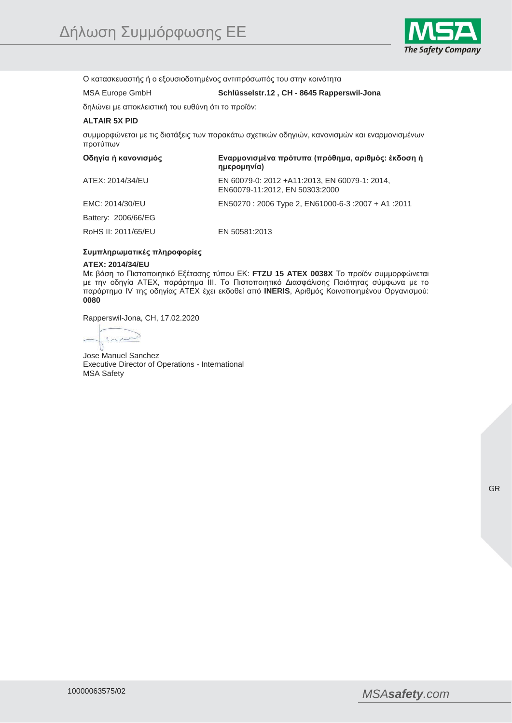

Ο κατασκευαστής ή ο εξουσιοδοτημένος αντιπρόσωπός του στην κοινότητα

# MSA Europe GmbH **Schlüsselstr.12 , CH - 8645 Rapperswil-Jona**

δηλώνει με αποκλειστική του ευθύνη ότι το προϊόν:

## **ALTAIR 5X PID**

συμμορφώνεται με τις διατάξεις των παρακάτω σχετικών οδηγιών, κανονισμών και εναρμονισμένων προτύπων

| Οδηγία ή κανονισμός | Εναρμονισμένα πρότυπα (πρόθημα, αριθμός: έκδοση ή<br>ημερομηνία)                |
|---------------------|---------------------------------------------------------------------------------|
| ATEX: 2014/34/EU    | EN 60079-0: 2012 +A11:2013, EN 60079-1: 2014,<br>EN60079-11:2012, EN 50303:2000 |
| EMC: 2014/30/EU     | 2011: EN50270 : 2006 Type 2, EN61000-6-3 : 2007 + A1 : 2011                     |
| Battery: 2006/66/EG |                                                                                 |
| RoHS II: 2011/65/EU | EN 50581:2013                                                                   |

### **Συμπληρωματικές πληροφορίες**

#### **ATEX: 2014/34/EU**

Με βάση το Πιστοποιητικό Εξέτασης τύπου ΕΚ: **FTZU 15 ATEX 0038X** Το προϊόν συμμορφώνεται με την οδηγία ATEX, παράρτημα III. Το Πιστοποιητικό Διασφάλισης Ποιότητας σύμφωνα με το παράρτημα IV της οδηγίας ATEX έχει εκδοθεί από **INERIS**, Αριθμός Κοινοποιημένου Οργανισμού: **0080**

Rapperswil-Jona, CH, 17.02.2020

 $\sim$  $\chi$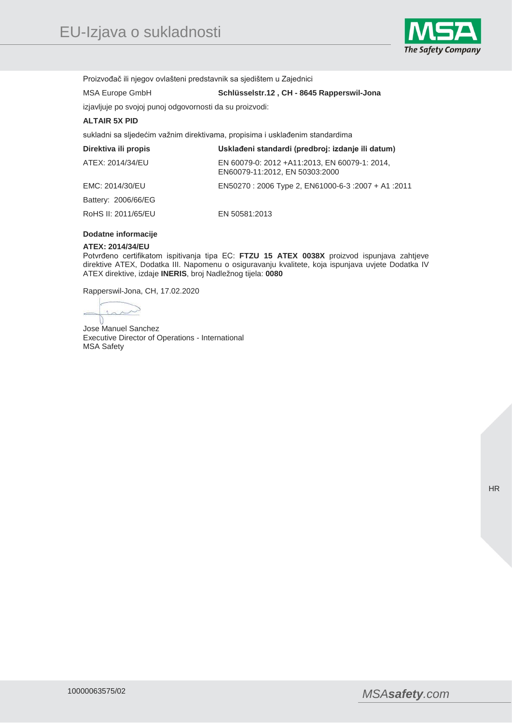

Proizvođač ili njegov ovlašteni predstavnik sa sjedištem u Zajednici

MSA Europe GmbH **Schlüsselstr.12 , CH - 8645 Rapperswil-Jona** 

# izjavljuje po svojoj punoj odgovornosti da su proizvodi:

## **ALTAIR 5X PID**

sukladni sa sljedećim važnim direktivama, propisima i usklađenim standardima

| Direktiva ili propis | Usklađeni standardi (predbroj: izdanje ili datum)                               |
|----------------------|---------------------------------------------------------------------------------|
| ATEX: 2014/34/EU     | EN 60079-0: 2012 +A11:2013, EN 60079-1: 2014,<br>EN60079-11:2012, EN 50303:2000 |
| EMC: 2014/30/EU      | 2011: EN50270 : 2006 Type 2, EN61000-6-3 : 2007 + A1 : 2011                     |
| Battery: 2006/66/EG  |                                                                                 |
| RoHS II: 2011/65/EU  | EN 50581:2013                                                                   |

## **Dodatne informacije**

#### **ATEX: 2014/34/EU**

Potvrđeno certifikatom ispitivanja tipa EC: **FTZU 15 ATEX 0038X** proizvod ispunjava zahtjeve direktive ATEX, Dodatka III. Napomenu o osiguravanju kvalitete, koja ispunjava uvjete Dodatka IV ATEX direktive, izdaje **INERIS**, broj Nadležnog tijela: **0080**

Rapperswil-Jona, CH, 17.02.2020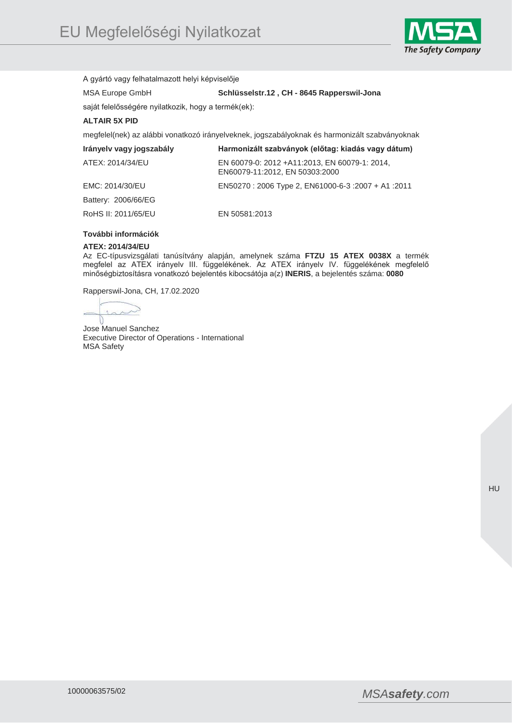

A gyártó vagy felhatalmazott helyi képviselője

MSA Europe GmbH **Schlüsselstr.12 , CH - 8645 Rapperswil-Jona** 

saját felelősségére nyilatkozik, hogy a termék(ek):

## **ALTAIR 5X PID**

megfelel(nek) az alábbi vonatkozó irányelveknek, jogszabályoknak és harmonizált szabványoknak

| Irányely vagy jogszabály | Harmonizált szabványok (előtag: kiadás vagy dátum)                              |
|--------------------------|---------------------------------------------------------------------------------|
| ATEX: 2014/34/EU         | EN 60079-0: 2012 +A11:2013, EN 60079-1: 2014,<br>EN60079-11:2012, EN 50303:2000 |
| EMC: 2014/30/EU          | EN50270 : 2006 Type 2, EN61000-6-3 :2007 + A1 :2011                             |
| Battery: 2006/66/EG      |                                                                                 |
| RoHS II: 2011/65/EU      | EN 50581:2013                                                                   |

## **További információk**

### **ATEX: 2014/34/EU**

Az EC-típusvizsgálati tanúsítvány alapján, amelynek száma **FTZU 15 ATEX 0038X** a termék megfelel az ATEX irányelv III. függelékének. Az ATEX irányelv IV. függelékének megfelelő minőségbiztosításra vonatkozó bejelentés kibocsátója a(z) **INERIS**, a bejelentés száma: **0080**

Rapperswil-Jona, CH, 17.02.2020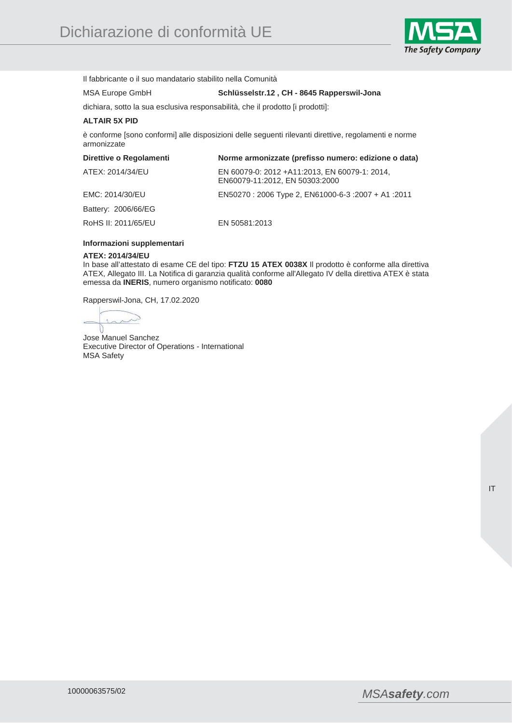

Il fabbricante o il suo mandatario stabilito nella Comunità

# MSA Europe GmbH **Schlüsselstr.12 , CH - 8645 Rapperswil-Jona**

dichiara, sotto la sua esclusiva responsabilità, che il prodotto [i prodotti]:

## **ALTAIR 5X PID**

è conforme [sono conformi] alle disposizioni delle seguenti rilevanti direttive, regolamenti e norme armonizzate

| Direttive o Regolamenti | Norme armonizzate (prefisso numero: edizione o data)                            |
|-------------------------|---------------------------------------------------------------------------------|
| ATEX: 2014/34/EU        | EN 60079-0: 2012 +A11:2013, EN 60079-1: 2014,<br>EN60079-11:2012, EN 50303:2000 |
| EMC: 2014/30/EU         | 2011: EN50270 : 2006 Type 2, EN61000-6-3 : 2007 + A1 : 2011                     |
| Battery: 2006/66/EG     |                                                                                 |
| RoHS II: 2011/65/EU     | EN 50581:2013                                                                   |

## **Informazioni supplementari**

#### **ATEX: 2014/34/EU**

In base all'attestato di esame CE del tipo: **FTZU 15 ATEX 0038X** Il prodotto è conforme alla direttiva ATEX, Allegato III. La Notifica di garanzia qualità conforme all'Allegato IV della direttiva ATEX è stata emessa da **INERIS**, numero organismo notificato: **0080**

Rapperswil-Jona, CH, 17.02.2020

 $\sim$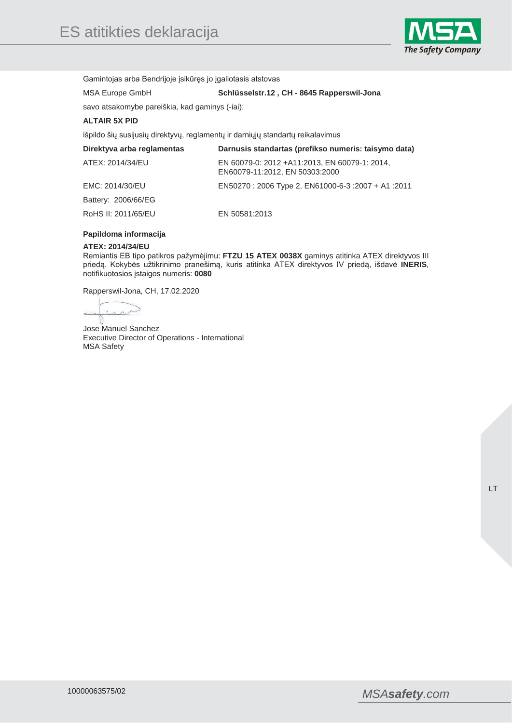

Gamintojas arba Bendrijoje įsikūręs jo įgaliotasis atstovas

# MSA Europe GmbH **Schlüsselstr.12 , CH - 8645 Rapperswil-Jona**

savo atsakomybe pareiškia, kad gaminys (-iai):

## **ALTAIR 5X PID**

išpildo šių susijusių direktyvų, reglamentų ir darniųjų standartų reikalavimus

| Direktyva arba reglamentas | Darnusis standartas (prefikso numeris: taisymo data)                            |
|----------------------------|---------------------------------------------------------------------------------|
| ATEX: 2014/34/EU           | EN 60079-0: 2012 +A11:2013, EN 60079-1: 2014,<br>EN60079-11:2012, EN 50303:2000 |
| EMC: 2014/30/EU            | EN50270 : 2006 Type 2, EN61000-6-3 :2007 + A1 :2011                             |
| Battery: 2006/66/EG        |                                                                                 |
| RoHS II: 2011/65/EU        | EN 50581:2013                                                                   |

## **Papildoma informacija**

#### **ATEX: 2014/34/EU**

Remiantis EB tipo patikros pažymėjimu: **FTZU 15 ATEX 0038X** gaminys atitinka ATEX direktyvos III priedą. Kokybės užtikrinimo pranešimą, kuris atitinka ATEX direktyvos IV priedą, išdavė **INERIS**, notifikuotosios įstaigos numeris: **0080**

Rapperswil-Jona, CH, 17.02.2020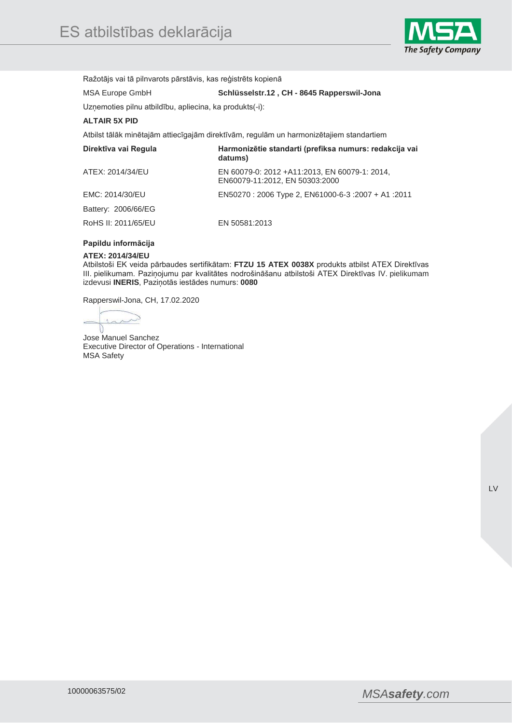

Ražotājs vai tā pilnvarots pārstāvis, kas reģistrēts kopienā

MSA Europe GmbH **Schlüsselstr.12 , CH - 8645 Rapperswil-Jona** 

Uzņemoties pilnu atbildību, apliecina, ka produkts(-i):

## **ALTAIR 5X PID**

Atbilst tālāk minētajām attiecīgajām direktīvām, regulām un harmonizētajiem standartiem

| Direktīva vai Regula | Harmonizētie standarti (prefiksa numurs: redakcija vai<br>datums)                |
|----------------------|----------------------------------------------------------------------------------|
| ATEX: 2014/34/EU     | EN 60079-0: 2012 + A11:2013, EN 60079-1: 2014,<br>EN60079-11:2012, EN 50303:2000 |
| EMC: 2014/30/EU      | 2011: 41 + 2007 1000-6-3 + 2007 + 2011 EN50270                                   |
| Battery: 2006/66/EG  |                                                                                  |
| RoHS II: 2011/65/EU  | EN 50581:2013                                                                    |

## **Papildu informācija**

#### **ATEX: 2014/34/EU**

Atbilstoši EK veida pārbaudes sertifikātam: **FTZU 15 ATEX 0038X** produkts atbilst ATEX Direktīvas III. pielikumam. Paziņojumu par kvalitātes nodrošināšanu atbilstoši ATEX Direktīvas IV. pielikumam izdevusi **INERIS**, Paziņotās iestādes numurs: **0080**

Rapperswil-Jona, CH, 17.02.2020

 $\sim$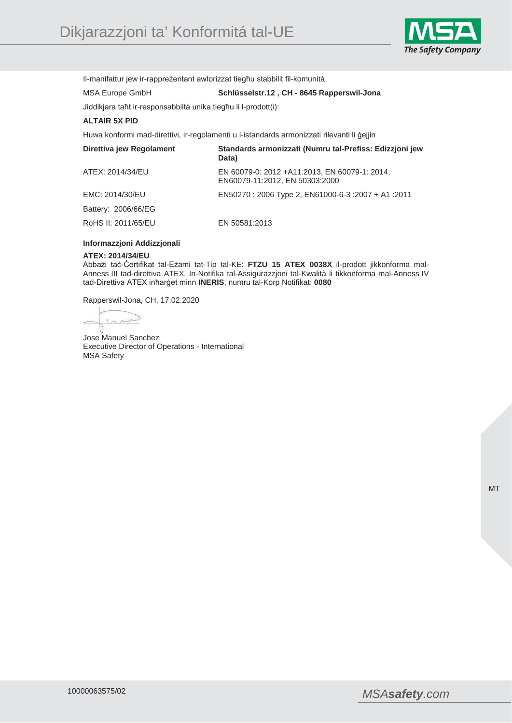

Il-manifattur jew ir-rappreżentant awtorizzat tiegħu stabbilit fil-komunità

MSA Europe GmbH **Schlüsselstr.12 , CH - 8645 Rapperswil-Jona** 

# Jiddikjara taħt ir-responsabbiltà unika tiegħu li l-prodott(i): **ALTAIR 5X PID**

Huwa konformi mad-direttivi, ir-regolamenti u l-istandards armonizzati rilevanti li ġejjin

| Direttiva jew Regolament | Standards armonizzati (Numru tal-Prefiss: Edizzioni jew<br>Data)                 |
|--------------------------|----------------------------------------------------------------------------------|
| ATEX: 2014/34/EU         | EN 60079-0: 2012 + A11:2013, EN 60079-1: 2014,<br>EN60079-11:2012, EN 50303:2000 |
| EMC: 2014/30/EU          | EN50270: 2006 Type 2, EN61000-6-3: 2007 + A1: 2011                               |
| Battery: 2006/66/EG      |                                                                                  |
| RoHS II: 2011/65/EU      | EN 50581:2013                                                                    |

### **Informazzjoni Addizzjonali**

#### **ATEX: 2014/34/EU**

Abbażi taċ-Ċertifikat tal-Eżami tat-Tip tal-KE: **FTZU 15 ATEX 0038X** il-prodott jikkonforma mal-Anness III tad-direttiva ATEX. In-Notifika tal-Assigurazzjoni tal-Kwalità li tikkonforma mal-Anness IV tad-Direttiva ATEX inħarġet minn **INERIS**, numru tal-Korp Notifikat: **0080**

Rapperswil-Jona, CH, 17.02.2020

 $\sim$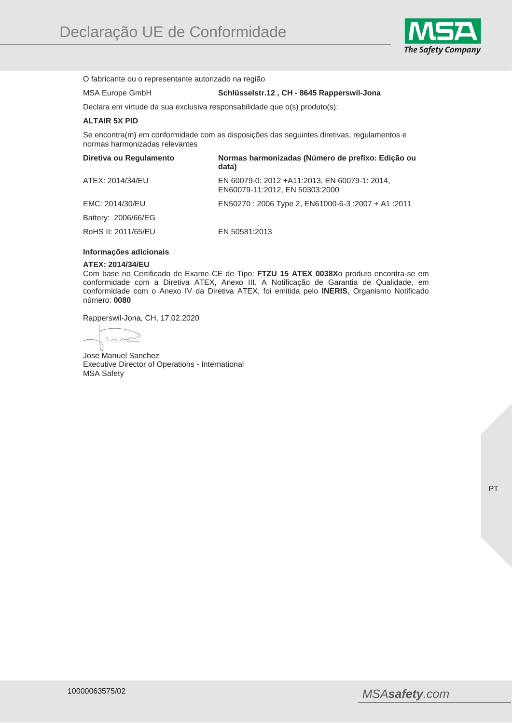

O fabricante ou o representante autorizado na região

## MSA Europe GmbH **Schlüsselstr.12 , CH - 8645 Rapperswil-Jona**

Declara em virtude da sua exclusiva responsabilidade que o(s) produto(s):

## **ALTAIR 5X PID**

Se encontra(m) em conformidade com as disposições das seguintes diretivas, regulamentos e normas harmonizadas relevantes

| Diretiva ou Regulamento | Normas harmonizadas (Número de prefixo: Edição ou<br>data)                      |
|-------------------------|---------------------------------------------------------------------------------|
| ATEX: 2014/34/EU        | EN 60079-0: 2012 +A11:2013, EN 60079-1: 2014,<br>EN60079-11:2012, EN 50303:2000 |
| EMC: 2014/30/EU         | 2011: EN50270 : 2006 Type 2, EN61000-6-3 : 2007 + A1 : 2011                     |
| Battery: 2006/66/EG     |                                                                                 |
| RoHS II: 2011/65/EU     | EN 50581:2013                                                                   |

#### **Informações adicionais**

#### **ATEX: 2014/34/EU**

Com base no Certificado de Exame CE de Tipo: **FTZU 15 ATEX 0038X**o produto encontra-se em conformidade com a Diretiva ATEX, Anexo III. A Notificação de Garantia de Qualidade, em conformidade com o Anexo IV da Diretiva ATEX, foi emitida pelo **INERIS**, Organismo Notificado número: **0080**

Rapperswil-Jona, CH, 17.02.2020

 $\overline{\phantom{a}}$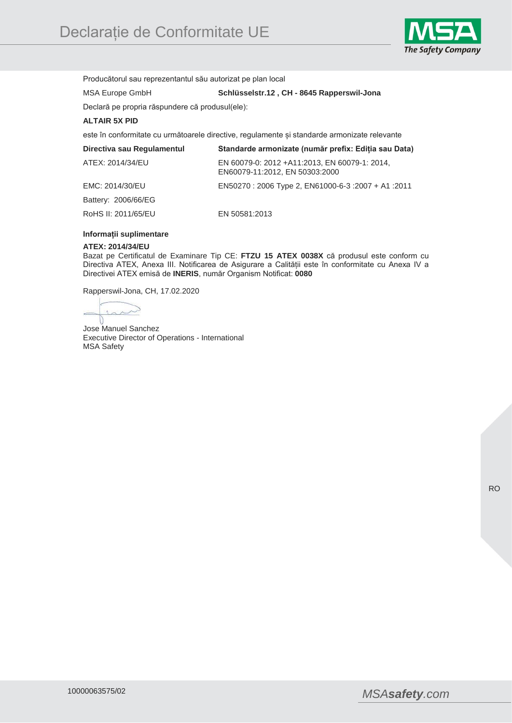

Producătorul sau reprezentantul său autorizat pe plan local

## MSA Europe GmbH **Schlüsselstr.12 , CH - 8645 Rapperswil-Jona**

Declară pe propria răspundere că produsul(ele):

## **ALTAIR 5X PID**

este în conformitate cu următoarele directive, regulamente și standarde armonizate relevante

| Directiva sau Regulamentul | Standarde armonizate (număr prefix: Ediția sau Data)                            |
|----------------------------|---------------------------------------------------------------------------------|
| ATEX: 2014/34/EU           | EN 60079-0: 2012 +A11:2013, EN 60079-1: 2014,<br>EN60079-11:2012, EN 50303:2000 |
| EMC: 2014/30/EU            | 2011: EN50270 : 2006 Type 2, EN61000-6-3 : 2007 + A1 : 2011                     |
| Battery: 2006/66/EG        |                                                                                 |
| RoHS II: 2011/65/EU        | EN 50581:2013                                                                   |

## **Informații suplimentare**

#### **ATEX: 2014/34/EU**

Bazat pe Certificatul de Examinare Tip CE: **FTZU 15 ATEX 0038X** că produsul este conform cu Directiva ATEX, Anexa III. Notificarea de Asigurare a Calității este în conformitate cu Anexa IV a Directivei ATEX emisă de **INERIS**, număr Organism Notificat: **0080**

Rapperswil-Jona, CH, 17.02.2020

 $\lambda$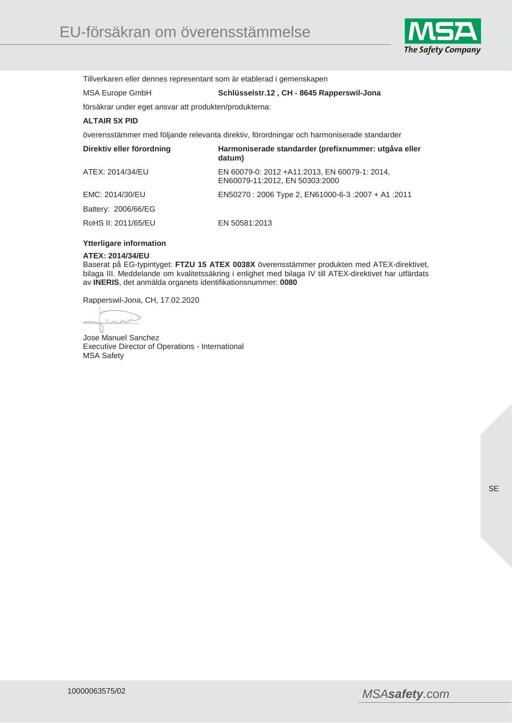

Tillverkaren eller dennes representant som är etablerad i gemenskapen

MSA Europe GmbH **Schlüsselstr.12 , CH - 8645 Rapperswil-Jona** 

försäkrar under eget ansvar att produkten/produkterna:

## **ALTAIR 5X PID**

överensstämmer med följande relevanta direktiv, förordningar och harmoniserade standarder

| Direktiv eller förordning | Harmoniserade standarder (prefixnummer: utgåva eller<br>datum)                  |
|---------------------------|---------------------------------------------------------------------------------|
| ATEX: 2014/34/EU          | EN 60079-0: 2012 +A11:2013, EN 60079-1: 2014,<br>EN60079-11:2012, EN 50303:2000 |
| EMC: 2014/30/EU           | EN50270: 2006 Type 2, EN61000-6-3: 2007 + A1: 2011                              |
| Battery: 2006/66/EG       |                                                                                 |
| RoHS II: 2011/65/EU       | EN 50581:2013                                                                   |

#### **Ytterligare information**

#### **ATEX: 2014/34/EU**

Baserat på EG-typintyget: **FTZU 15 ATEX 0038X** överensstämmer produkten med ATEX-direktivet, bilaga III. Meddelande om kvalitetssäkring i enlighet med bilaga IV till ATEX-direktivet har utfärdats av **INERIS**, det anmälda organets identifikationsnummer: **0080**

Rapperswil-Jona, CH, 17.02.2020

 $\sim$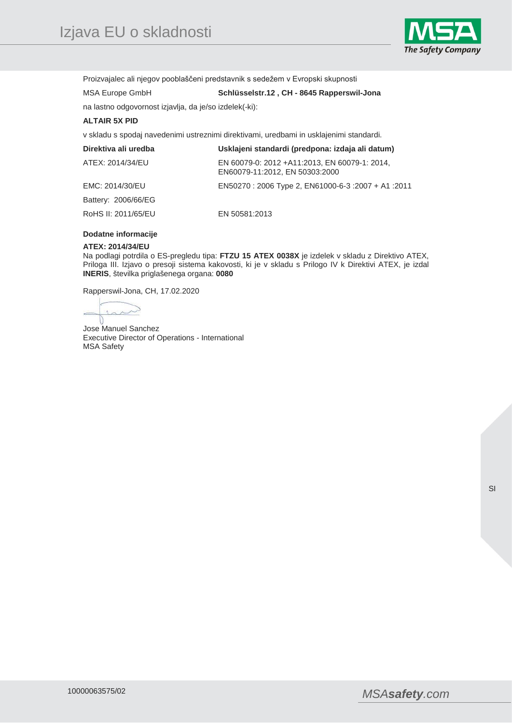

Proizvajalec ali njegov pooblaščeni predstavnik s sedežem v Evropski skupnosti

## MSA Europe GmbH **Schlüsselstr.12 , CH - 8645 Rapperswil-Jona**

na lastno odgovornost izjavlja, da je/so izdelek(-ki):

## **ALTAIR 5X PID**

v skladu s spodaj navedenimi ustreznimi direktivami, uredbami in usklajenimi standardi.

| Direktiva ali uredba | Usklajeni standardi (predpona: izdaja ali datum)                                |
|----------------------|---------------------------------------------------------------------------------|
| ATEX: 2014/34/EU     | EN 60079-0: 2012 +A11:2013, EN 60079-1: 2014,<br>EN60079-11:2012, EN 50303:2000 |
| EMC: 2014/30/EU      | 2011: EN50270 : 2006 Type 2, EN61000-6-3 : 2007 + A1 : 2011                     |
| Battery: 2006/66/EG  |                                                                                 |
| RoHS II: 2011/65/EU  | EN 50581:2013                                                                   |

## **Dodatne informacije**

#### **ATEX: 2014/34/EU**

Na podlagi potrdila o ES-pregledu tipa: **FTZU 15 ATEX 0038X** je izdelek v skladu z Direktivo ATEX, Priloga III. Izjavo o presoji sistema kakovosti, ki je v skladu s Prilogo IV k Direktivi ATEX, je izdal **INERIS**, številka priglašenega organa: **0080**

Rapperswil-Jona, CH, 17.02.2020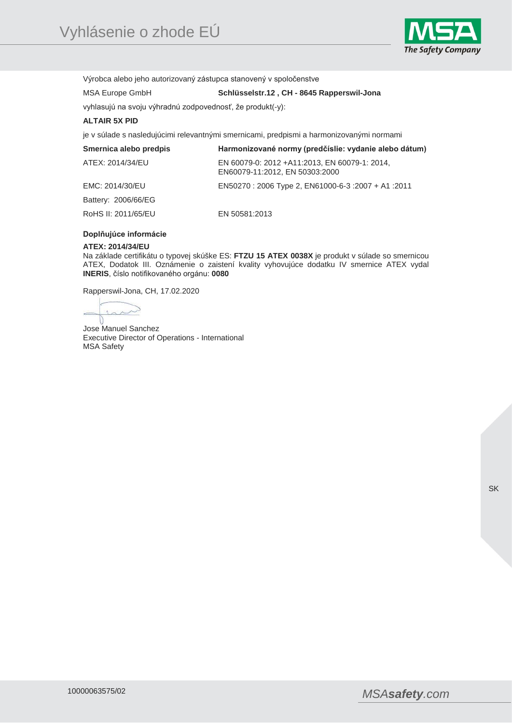

Výrobca alebo jeho autorizovaný zástupca stanovený v spoločenstve

MSA Europe GmbH **Schlüsselstr.12 , CH - 8645 Rapperswil-Jona** 

vyhlasujú na svoju výhradnú zodpovednosť, že produkt(-y):

## **ALTAIR 5X PID**

je v súlade s nasledujúcimi relevantnými smernicami, predpismi a harmonizovanými normami

| Smernica alebo predpis | Harmonizované normy (predčíslie: vydanie alebo dátum)                           |
|------------------------|---------------------------------------------------------------------------------|
| ATEX: 2014/34/EU       | EN 60079-0: 2012 +A11:2013, EN 60079-1: 2014,<br>EN60079-11:2012, EN 50303:2000 |
| EMC: 2014/30/EU        | 2011: 41 + 2007 1000-6-3 + 2007 + 2011 EN50270 : 2006 Type 2, EN61000-6-3       |
| Battery: 2006/66/EG    |                                                                                 |
| RoHS II: 2011/65/EU    | EN 50581:2013                                                                   |

## **Doplňujúce informácie**

#### **ATEX: 2014/34/EU**

Na základe certifikátu o typovej skúške ES: **FTZU 15 ATEX 0038X** je produkt v súlade so smernicou ATEX, Dodatok III. Oznámenie o zaistení kvality vyhovujúce dodatku IV smernice ATEX vydal **INERIS**, číslo notifikovaného orgánu: **0080**

Rapperswil-Jona, CH, 17.02.2020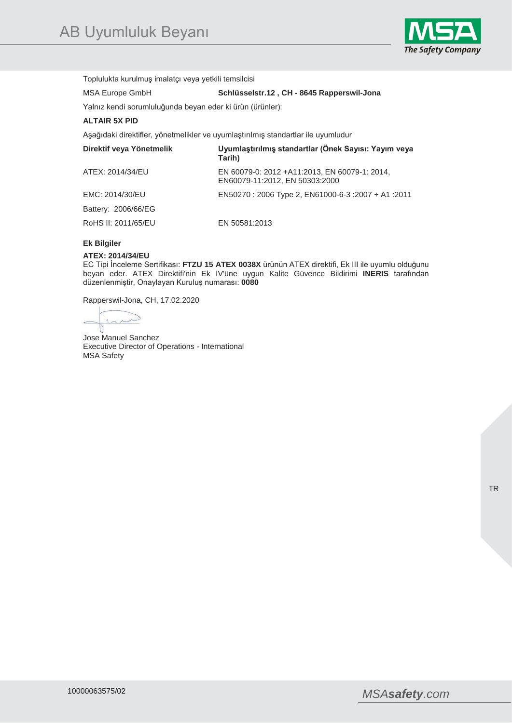

Toplulukta kurulmuş imalatçı veya yetkili temsilcisi

MSA Europe GmbH **Schlüsselstr.12 , CH - 8645 Rapperswil-Jona** 

Yalnız kendi sorumluluğunda beyan eder ki ürün (ürünler):

## **ALTAIR 5X PID**

Aşağıdaki direktifler, yönetmelikler ve uyumlaştırılmış standartlar ile uyumludur

| Direktif veya Yönetmelik | Uyumlaştırılmış standartlar (Önek Sayısı: Yayım veya<br>Tarih)                  |
|--------------------------|---------------------------------------------------------------------------------|
| ATEX: 2014/34/EU         | EN 60079-0: 2012 +A11:2013, EN 60079-1: 2014,<br>EN60079-11:2012, EN 50303:2000 |
| EMC: 2014/30/EU          | EN50270 : 2006 Type 2, EN61000-6-3 : 2007 + A1 : 2011                           |
| Battery: 2006/66/EG      |                                                                                 |
| RoHS II: 2011/65/EU      | EN 50581:2013                                                                   |

## **Ek Bilgiler**

#### **ATEX: 2014/34/EU**

EC Tipi İnceleme Sertifikası: **FTZU 15 ATEX 0038X** ürünün ATEX direktifi, Ek III ile uyumlu olduğunu beyan eder. ATEX Direktifi'nin Ek IV'üne uygun Kalite Güvence Bildirimi **INERIS** tarafından düzenlenmiştir, Onaylayan Kuruluş numarası: **0080**

Rapperswil-Jona, CH, 17.02.2020

 $\sim$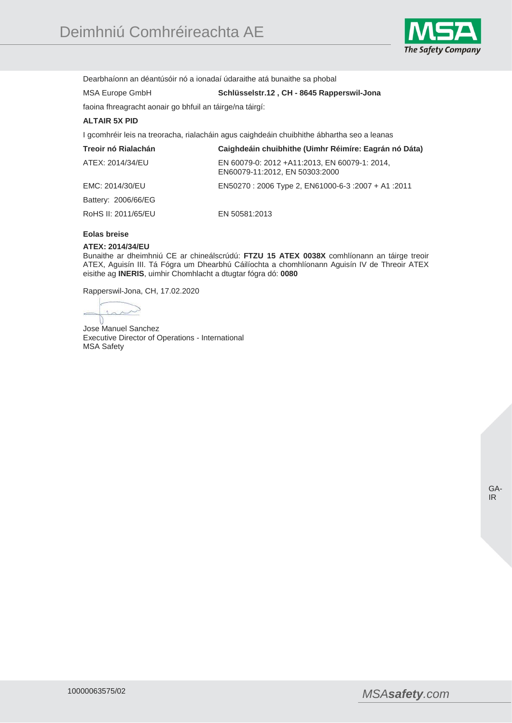

Dearbhaíonn an déantúsóir nó a ionadaí údaraithe atá bunaithe sa phobal

# MSA Europe GmbH **Schlüsselstr.12 , CH - 8645 Rapperswil-Jona**

faoina fhreagracht aonair go bhfuil an táirge/na táirgí:

## **ALTAIR 5X PID**

I gcomhréir leis na treoracha, rialacháin agus caighdeáin chuibhithe ábhartha seo a leanas

| Treoir nó Rialachán | Caighdeáin chuibhithe (Uimhr Réimíre: Eagrán nó Dáta)                            |
|---------------------|----------------------------------------------------------------------------------|
| ATEX: 2014/34/EU    | EN 60079-0: 2012 + A11:2013, EN 60079-1: 2014,<br>EN60079-11:2012, EN 50303:2000 |
| EMC: 2014/30/EU     | 2011: 41 + 2007 1000-6-3 + 2007 + 2011 EN50270                                   |
| Battery: 2006/66/EG |                                                                                  |
| RoHS II: 2011/65/EU | EN 50581:2013                                                                    |

## **Eolas breise**

#### **ATEX: 2014/34/EU**

Bunaithe ar dheimhniú CE ar chineálscrúdú: **FTZU 15 ATEX 0038X** comhlíonann an táirge treoir ATEX, Aguisín III. Tá Fógra um Dhearbhú Cáilíochta a chomhlíonann Aguisín IV de Threoir ATEX eisithe ag **INERIS**, uimhir Chomhlacht a dtugtar fógra dó: **0080**

Rapperswil-Jona, CH, 17.02.2020